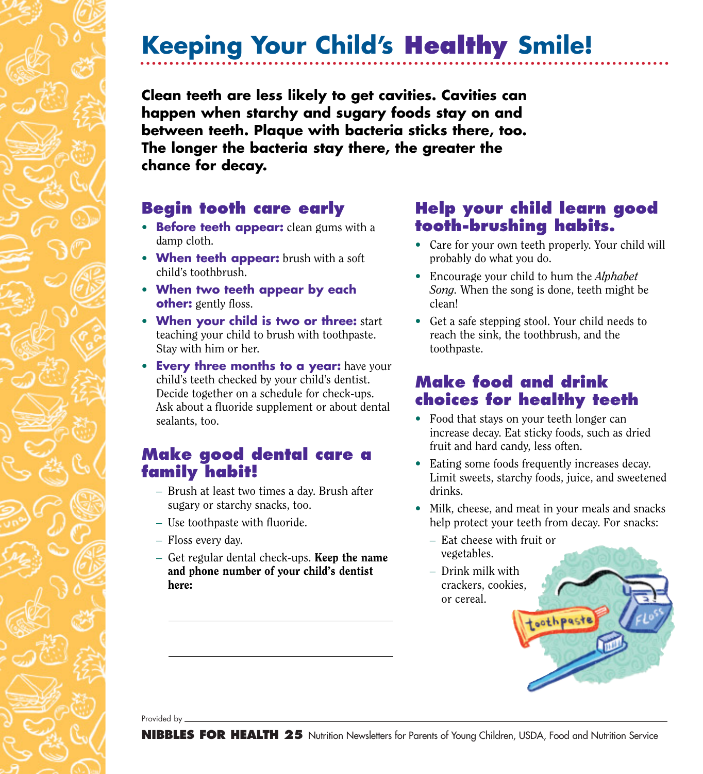# **Keeping Your Child's Healthy Smile!**

**Clean teeth are less likely to get cavities. Cavities can happen when starchy and sugary foods stay on and between teeth. Plaque with bacteria sticks there, too. The longer the bacteria stay there, the greater the chance for decay.**

# **Begin tooth care early**

- **Before teeth appear:** clean gums with a damp cloth.
- **When teeth appear:** brush with a soft child's toothbrush.
- **When two teeth appear by each other:** gently floss.
- **When your child is two or three:** start teaching your child to brush with toothpaste. Stay with him or her.
- **Every three months to a year:** have your child's teeth checked by your child's dentist. Decide together on a schedule for check-ups. Ask about a fluoride supplement or about dental sealants, too.

#### **Make good dental care a family habit!**

- Brush at least two times a day. Brush after sugary or starchy snacks, too.
- Use toothpaste with fluoride.
- Floss every day.
- Get regular dental check-ups. Keep the name and phone number of your child's dentist here:

### **Help your child learn good tooth-brushing habits.**

- Care for your own teeth properly. Your child will probably do what you do.
- Encourage your child to hum the *Alphabet Song.* When the song is done, teeth might be clean!
- Get a safe stepping stool. Your child needs to reach the sink, the toothbrush, and the toothpaste.

# **Make food and drink choices for healthy teeth**

- Food that stays on your teeth longer can increase decay. Eat sticky foods, such as dried fruit and hard candy, less often.
- Eating some foods frequently increases decay. Limit sweets, starchy foods, juice, and sweetened drinks.
- Milk, cheese, and meat in your meals and snacks help protect your teeth from decay. For snacks:

toothpaste

- Eat cheese with fruit or vegetables.
- Drink milk with crackers, cookies, or cereal.

Provided by